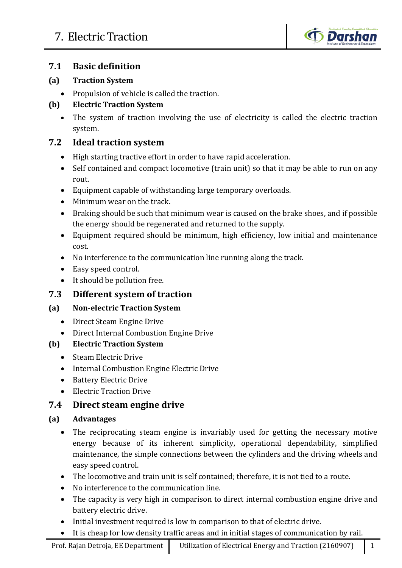

### **7.1 Basic definition**

#### **(a) Traction System**

• Propulsion of vehicle is called the traction.

#### **(b) Electric Traction System**

• The system of traction involving the use of electricity is called the electric traction system.

### **7.2 Ideal traction system**

- High starting tractive effort in order to have rapid acceleration.
- Self contained and compact locomotive (train unit) so that it may be able to run on any rout.
- Equipment capable of withstanding large temporary overloads.
- Minimum wear on the track.
- Braking should be such that minimum wear is caused on the brake shoes, and if possible the energy should be regenerated and returned to the supply.
- Equipment required should be minimum, high efficiency, low initial and maintenance cost.
- No interference to the communication line running along the track.
- Easy speed control.
- It should be pollution free.

#### **7.3 Different system of traction**

#### **(a) Non-electric Traction System**

- Direct Steam Engine Drive
- Direct Internal Combustion Engine Drive

#### **(b) Electric Traction System**

- Steam Electric Drive
- Internal Combustion Engine Electric Drive
- Battery Electric Drive
- Electric Traction Drive

## **7.4 Direct steam engine drive**

#### **(a) Advantages**

- The reciprocating steam engine is invariably used for getting the necessary motive energy because of its inherent simplicity, operational dependability, simplified maintenance, the simple connections between the cylinders and the driving wheels and easy speed control.
- The locomotive and train unit is self contained; therefore, it is not tied to a route.
- No interference to the communication line.
- The capacity is very high in comparison to direct internal combustion engine drive and battery electric drive.
- Initial investment required is low in comparison to that of electric drive.
- It is cheap for low density traffic areas and in initial stages of communication by rail.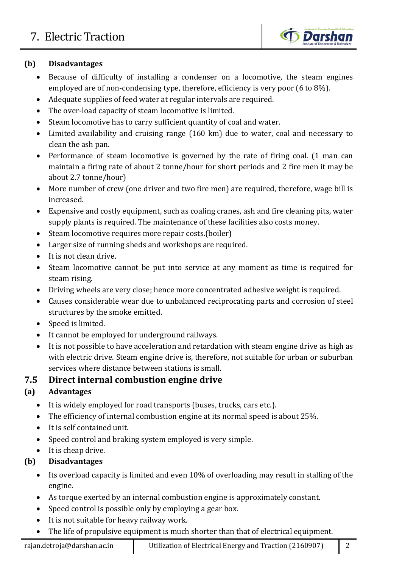

### **(b) Disadvantages**

- Because of difficulty of installing a condenser on a locomotive, the steam engines employed are of non-condensing type, therefore, efficiency is very poor (6 to 8%).
- Adequate supplies of feed water at regular intervals are required.
- The over-load capacity of steam locomotive is limited.
- Steam locomotive has to carry sufficient quantity of coal and water.
- Limited availability and cruising range (160 km) due to water, coal and necessary to clean the ash pan.
- Performance of steam locomotive is governed by the rate of firing coal. (1 man can maintain a firing rate of about 2 tonne/hour for short periods and 2 fire men it may be about 2.7 tonne/hour)
- More number of crew (one driver and two fire men) are required, therefore, wage bill is increased.
- Expensive and costly equipment, such as coaling cranes, ash and fire cleaning pits, water supply plants is required. The maintenance of these facilities also costs money.
- Steam locomotive requires more repair costs.(boiler)
- Larger size of running sheds and workshops are required.
- It is not clean drive.
- Steam locomotive cannot be put into service at any moment as time is required for steam rising.
- Driving wheels are very close; hence more concentrated adhesive weight is required.
- Causes considerable wear due to unbalanced reciprocating parts and corrosion of steel structures by the smoke emitted.
- Speed is limited.
- It cannot be employed for underground railways.
- It is not possible to have acceleration and retardation with steam engine drive as high as with electric drive. Steam engine drive is, therefore, not suitable for urban or suburban services where distance between stations is small.

## **7.5 Direct internal combustion engine drive**

## **(a) Advantages**

- It is widely employed for road transports (buses, trucks, cars etc.).
- The efficiency of internal combustion engine at its normal speed is about 25%.
- It is self contained unit.
- Speed control and braking system employed is very simple.
- It is cheap drive.

## **(b) Disadvantages**

- Its overload capacity is limited and even 10% of overloading may result in stalling of the engine.
- As torque exerted by an internal combustion engine is approximately constant.
- Speed control is possible only by employing a gear box.
- It is not suitable for heavy railway work.
- The life of propulsive equipment is much shorter than that of electrical equipment.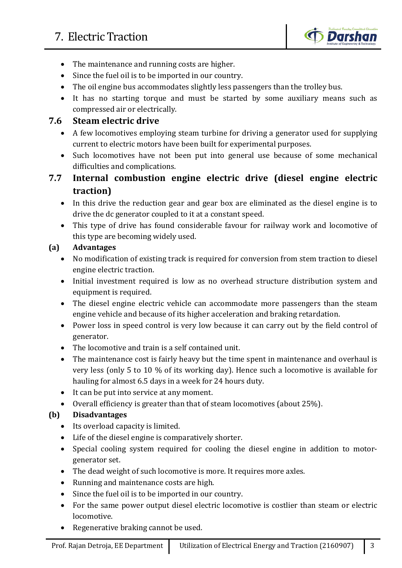

- The maintenance and running costs are higher.
- Since the fuel oil is to be imported in our country.
- The oil engine bus accommodates slightly less passengers than the trolley bus.
- It has no starting torque and must be started by some auxiliary means such as compressed air or electrically.

#### **7.6 Steam electric drive**

- A few locomotives employing steam turbine for driving a generator used for supplying current to electric motors have been built for experimental purposes.
- Such locomotives have not been put into general use because of some mechanical difficulties and complications.
- **7.7 Internal combustion engine electric drive (diesel engine electric traction)**
	- In this drive the reduction gear and gear box are eliminated as the diesel engine is to drive the dc generator coupled to it at a constant speed.
	- This type of drive has found considerable favour for railway work and locomotive of this type are becoming widely used.

#### **(a) Advantages**

- No modification of existing track is required for conversion from stem traction to diesel engine electric traction.
- Initial investment required is low as no overhead structure distribution system and equipment is required.
- The diesel engine electric vehicle can accommodate more passengers than the steam engine vehicle and because of its higher acceleration and braking retardation.
- Power loss in speed control is very low because it can carry out by the field control of generator.
- The locomotive and train is a self contained unit.
- The maintenance cost is fairly heavy but the time spent in maintenance and overhaul is very less (only 5 to 10 % of its working day). Hence such a locomotive is available for hauling for almost 6.5 days in a week for 24 hours duty.
- It can be put into service at any moment.
- Overall efficiency is greater than that of steam locomotives (about 25%).

#### **(b) Disadvantages**

- Its overload capacity is limited.
- Life of the diesel engine is comparatively shorter.
- Special cooling system required for cooling the diesel engine in addition to motorgenerator set.
- The dead weight of such locomotive is more. It requires more axles.
- Running and maintenance costs are high.
- Since the fuel oil is to be imported in our country.
- For the same power output diesel electric locomotive is costlier than steam or electric locomotive.
- Regenerative braking cannot be used.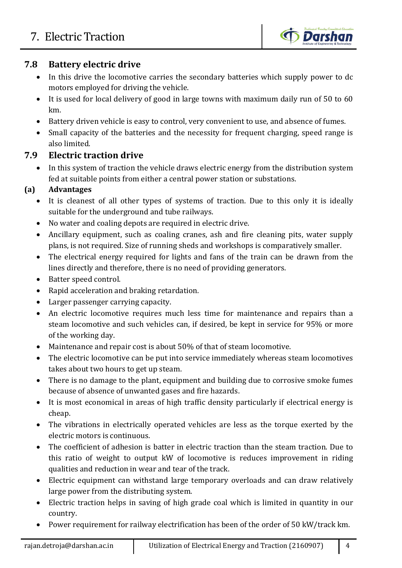

### **7.8 Battery electric drive**

- In this drive the locomotive carries the secondary batteries which supply power to dc motors employed for driving the vehicle.
- It is used for local delivery of good in large towns with maximum daily run of 50 to 60 km.
- Battery driven vehicle is easy to control, very convenient to use, and absence of fumes.
- Small capacity of the batteries and the necessity for frequent charging, speed range is also limited.

## **7.9 Electric traction drive**

• In this system of traction the vehicle draws electric energy from the distribution system fed at suitable points from either a central power station or substations.

## **(a) Advantages**

- It is cleanest of all other types of systems of traction. Due to this only it is ideally suitable for the underground and tube railways.
- No water and coaling depots are required in electric drive.
- Ancillary equipment, such as coaling cranes, ash and fire cleaning pits, water supply plans, is not required. Size of running sheds and workshops is comparatively smaller.
- The electrical energy required for lights and fans of the train can be drawn from the lines directly and therefore, there is no need of providing generators.
- Batter speed control.
- Rapid acceleration and braking retardation.
- Larger passenger carrying capacity.
- An electric locomotive requires much less time for maintenance and repairs than a steam locomotive and such vehicles can, if desired, be kept in service for 95% or more of the working day.
- Maintenance and repair cost is about 50% of that of steam locomotive.
- The electric locomotive can be put into service immediately whereas steam locomotives takes about two hours to get up steam.
- There is no damage to the plant, equipment and building due to corrosive smoke fumes because of absence of unwanted gases and fire hazards.
- It is most economical in areas of high traffic density particularly if electrical energy is cheap.
- The vibrations in electrically operated vehicles are less as the torque exerted by the electric motors is continuous.
- The coefficient of adhesion is batter in electric traction than the steam traction. Due to this ratio of weight to output kW of locomotive is reduces improvement in riding qualities and reduction in wear and tear of the track.
- Electric equipment can withstand large temporary overloads and can draw relatively large power from the distributing system.
- Electric traction helps in saving of high grade coal which is limited in quantity in our country.
- Power requirement for railway electrification has been of the order of 50 kW/track km.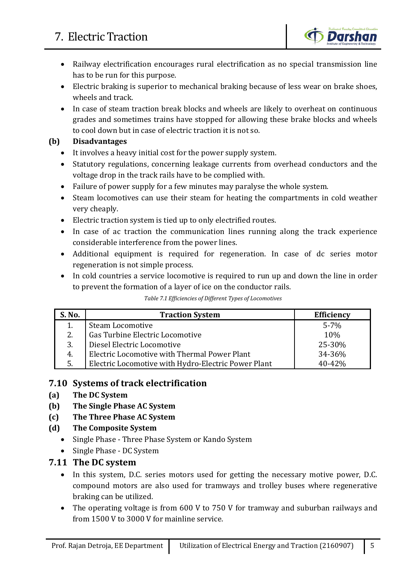# 7. Electric Traction



- Railway electrification encourages rural electrification as no special transmission line has to be run for this purpose.
- Electric braking is superior to mechanical braking because of less wear on brake shoes, wheels and track.
- In case of steam traction break blocks and wheels are likely to overheat on continuous grades and sometimes trains have stopped for allowing these brake blocks and wheels to cool down but in case of electric traction it is not so.

#### **(b) Disadvantages**

- It involves a heavy initial cost for the power supply system.
- Statutory regulations, concerning leakage currents from overhead conductors and the voltage drop in the track rails have to be complied with.
- Failure of power supply for a few minutes may paralyse the whole system.
- Steam locomotives can use their steam for heating the compartments in cold weather very cheaply.
- Electric traction system is tied up to only electrified routes.
- In case of ac traction the communication lines running along the track experience considerable interference from the power lines.
- Additional equipment is required for regeneration. In case of dc series motor regeneration is not simple process.
- In cold countries a service locomotive is required to run up and down the line in order to prevent the formation of a layer of ice on the conductor rails.

| S. No. | <b>Traction System</b>                              | <b>Efficiency</b> |
|--------|-----------------------------------------------------|-------------------|
|        | Steam Locomotive                                    | $5 - 7%$          |
| 2.     | Gas Turbine Electric Locomotive                     | 10%               |
| 3.     | Diesel Electric Locomotive                          | 25-30%            |
| 4.     | Electric Locomotive with Thermal Power Plant        | 34-36%            |
| 5.     | Electric Locomotive with Hydro-Electric Power Plant | $40 - 42%$        |

*Table 7.1 Efficiencies of Different Types of Locomotives*

#### **7.10 Systems of track electrification**

- **(a) The DC System**
- **(b) The Single Phase AC System**
- **(c) The Three Phase AC System**
- **(d) The Composite System**
	- Single Phase Three Phase System or Kando System
	- Single Phase DC System

#### **7.11 The DC system**

- In this system, D.C. series motors used for getting the necessary motive power, D.C. compound motors are also used for tramways and trolley buses where regenerative braking can be utilized.
- The operating voltage is from 600 V to 750 V for tramway and suburban railways and from 1500 V to 3000 V for mainline service.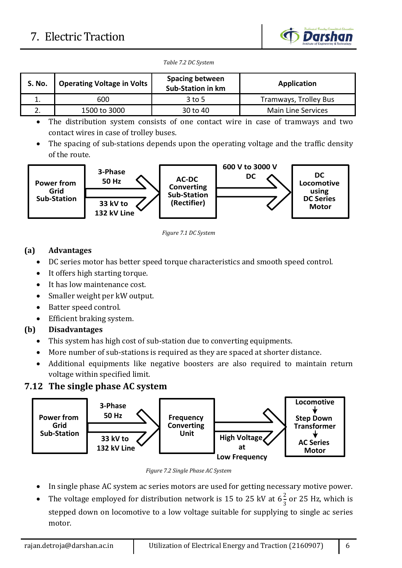# 7. Electric Traction



*Table 7.2 DC System*

| <b>S. No.</b> | <b>Operating Voltage in Volts</b> | <b>Spacing between</b><br><b>Sub-Station in km</b> | Application               |  |
|---------------|-----------------------------------|----------------------------------------------------|---------------------------|--|
|               | 600                               | $3$ to 5                                           | Tramways, Trolley Bus     |  |
|               | 1500 to 3000                      | 30 to 40                                           | <b>Main Line Services</b> |  |

• The distribution system consists of one contact wire in case of tramways and two contact wires in case of trolley buses.

• The spacing of sub-stations depends upon the operating voltage and the traffic density of the route.



*Figure 7.1 DC System*

#### **(a) Advantages**

- DC series motor has better speed torque characteristics and smooth speed control.
- It offers high starting torque.
- It has low maintenance cost.
- Smaller weight per kW output.
- Batter speed control.
- Efficient braking system.

#### **(b) Disadvantages**

- This system has high cost of sub-station due to converting equipments.
- More number of sub-stations is required as they are spaced at shorter distance.
- Additional equipments like negative boosters are also required to maintain return voltage within specified limit.

## **7.12 The single phase AC system**



*Figure 7.2 Single Phase AC System*

- In single phase AC system ac series motors are used for getting necessary motive power.
- The voltage employed for distribution network is 15 to 25 kV at  $6\frac{2}{3}$  or 25 Hz, which is stepped down on locomotive to a low voltage suitable for supplying to single ac series motor.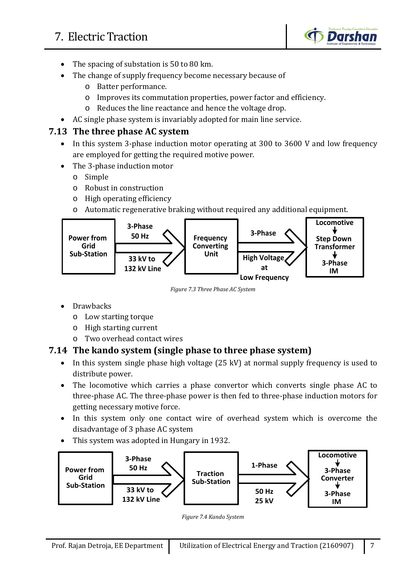

- The spacing of substation is 50 to 80 km.
- The change of supply frequency become necessary because of
	- o Batter performance.
	- o Improves its commutation properties, power factor and efficiency.
	- o Reduces the line reactance and hence the voltage drop.
- AC single phase system is invariably adopted for main line service.

### **7.13 The three phase AC system**

- In this system 3-phase induction motor operating at 300 to 3600 V and low frequency are employed for getting the required motive power.
- The 3-phase induction motor
	- o Simple
	- o Robust in construction
	- o High operating efficiency
	- o Automatic regenerative braking without required any additional equipment.



*Figure 7.3 Three Phase AC System*

- **Drawbacks** 
	- o Low starting torque
	- o High starting current
	- o Two overhead contact wires

## **7.14 The kando system (single phase to three phase system)**

- In this system single phase high voltage (25 kV) at normal supply frequency is used to distribute power.
- The locomotive which carries a phase convertor which converts single phase AC to three-phase AC. The three-phase power is then fed to three-phase induction motors for getting necessary motive force.
- In this system only one contact wire of overhead system which is overcome the disadvantage of 3 phase AC system
- This system was adopted in Hungary in 1932.



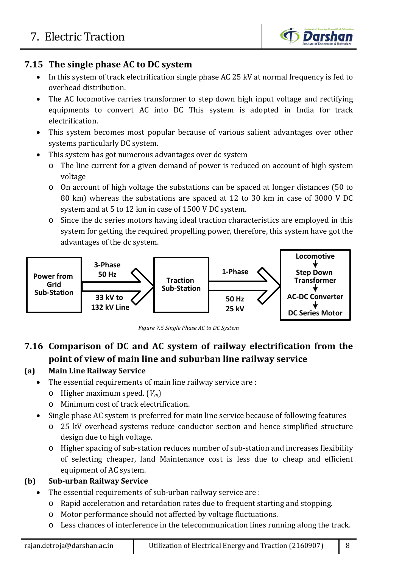## **7.15 The single phase AC to DC system**

- In this system of track electrification single phase AC 25 kV at normal frequency is fed to overhead distribution.
- The AC locomotive carries transformer to step down high input voltage and rectifying equipments to convert AC into DC This system is adopted in India for track electrification.
- This system becomes most popular because of various salient advantages over other systems particularly DC system.
- This system has got numerous advantages over dc system
	- o The line current for a given demand of power is reduced on account of high system voltage
	- o On account of high voltage the substations can be spaced at longer distances (50 to 80 km) whereas the substations are spaced at 12 to 30 km in case of 3000 V DC system and at 5 to 12 km in case of 1500 V DC system.
	- o Since the dc series motors having ideal traction characteristics are employed in this system for getting the required propelling power, therefore, this system have got the advantages of the dc system.



*Figure 7.5 Single Phase AC to DC System*

## **7.16 Comparison of DC and AC system of railway electrification from the point of view of main line and suburban line railway service**

#### **(a) Main Line Railway Service**

- The essential requirements of main line railway service are :
	- o Higher maximum speed. (*Vm*)
	- o Minimum cost of track electrification.
- Single phase AC system is preferred for main line service because of following features
	- o 25 kV overhead systems reduce conductor section and hence simplified structure design due to high voltage.
	- o Higher spacing of sub-station reduces number of sub-station and increases flexibility of selecting cheaper, land Maintenance cost is less due to cheap and efficient equipment of AC system.

## **(b) Sub-urban Railway Service**

- The essential requirements of sub-urban railway service are :
	- o Rapid acceleration and retardation rates due to frequent starting and stopping.
	- o Motor performance should not affected by voltage fluctuations.
	- o Less chances of interference in the telecommunication lines running along the track.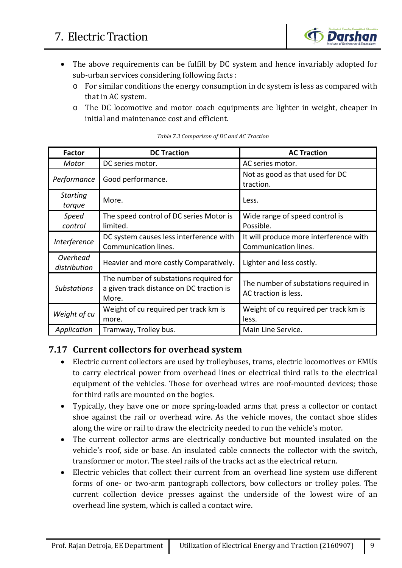

- The above requirements can be fulfill by DC system and hence invariably adopted for sub-urban services considering following facts :
	- o For similar conditions the energy consumption in dc system is less as compared with that in AC system.
	- o The DC locomotive and motor coach equipments are lighter in weight, cheaper in initial and maintenance cost and efficient.

| <b>DC Traction</b><br><b>Factor</b> |                                                                                             | <b>AC Traction</b>                                             |  |  |
|-------------------------------------|---------------------------------------------------------------------------------------------|----------------------------------------------------------------|--|--|
| Motor                               | DC series motor.                                                                            | AC series motor.                                               |  |  |
| Performance<br>Good performance.    |                                                                                             | Not as good as that used for DC<br>traction.                   |  |  |
| <b>Starting</b><br>torque           | More.                                                                                       | Less.                                                          |  |  |
| Speed<br>control                    | The speed control of DC series Motor is<br>limited.                                         | Wide range of speed control is<br>Possible.                    |  |  |
| Interference                        | DC system causes less interference with<br>Communication lines.                             | It will produce more interference with<br>Communication lines. |  |  |
| Overhead<br>distribution            | Heavier and more costly Comparatively.                                                      | Lighter and less costly.                                       |  |  |
| <b>Substations</b>                  | The number of substations required for<br>a given track distance on DC traction is<br>More. | The number of substations required in<br>AC traction is less.  |  |  |
| Weight of cu                        | Weight of cu required per track km is<br>more.                                              | Weight of cu required per track km is<br>less.                 |  |  |
| Application                         | Tramway, Trolley bus.                                                                       | Main Line Service.                                             |  |  |

#### *Table 7.3 Comparison of DC and AC Traction*

#### **7.17 Current collectors for overhead system**

- Electric current collectors are used by trolleybuses, trams, electric locomotives or EMUs to carry electrical power from overhead lines or electrical third rails to the electrical equipment of the vehicles. Those for overhead wires are roof-mounted devices; those for third rails are mounted on the bogies.
- Typically, they have one or more spring-loaded arms that press a collector or contact shoe against the rail or overhead wire. As the vehicle moves, the contact shoe slides along the wire or rail to draw the electricity needed to run the vehicle's motor.
- The current collector arms are electrically conductive but mounted insulated on the vehicle's roof, side or base. An insulated cable connects the collector with the switch, transformer or motor. The steel rails of the tracks act as the electrical return.
- Electric vehicles that collect their current from an overhead line system use different forms of one- or two-arm pantograph collectors, bow collectors or trolley poles. The current collection device presses against the underside of the lowest wire of an overhead line system, which is called a contact wire.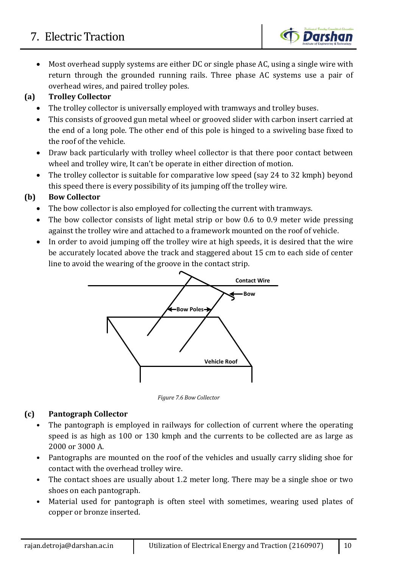# 7. Electric Traction

• Most overhead supply systems are either DC or single phase AC, using a single wire with return through the grounded running rails. Three phase AC systems use a pair of overhead wires, and paired trolley poles.

**Darshan** 

## **(a) Trolley Collector**

- The trolley collector is universally employed with tramways and trolley buses.
- This consists of grooved gun metal wheel or grooved slider with carbon insert carried at the end of a long pole. The other end of this pole is hinged to a swiveling base fixed to the roof of the vehicle.
- Draw back particularly with trolley wheel collector is that there poor contact between wheel and trolley wire, It can't be operate in either direction of motion.
- The trolley collector is suitable for comparative low speed (say 24 to 32 kmph) beyond this speed there is every possibility of its jumping off the trolley wire.

## **(b) Bow Collector**

- The bow collector is also employed for collecting the current with tramways.
- The bow collector consists of light metal strip or bow 0.6 to 0.9 meter wide pressing against the trolley wire and attached to a framework mounted on the roof of vehicle.
- In order to avoid jumping off the trolley wire at high speeds, it is desired that the wire be accurately located above the track and staggered about 15 cm to each side of center line to avoid the wearing of the groove in the contact strip.



*Figure 7.6 Bow Collector*

## **(c) Pantograph Collector**

- The pantograph is employed in railways for collection of current where the operating speed is as high as 100 or 130 kmph and the currents to be collected are as large as 2000 or 3000 A.
- Pantographs are mounted on the roof of the vehicles and usually carry sliding shoe for contact with the overhead trolley wire.
- The contact shoes are usually about 1.2 meter long. There may be a single shoe or two shoes on each pantograph.
- Material used for pantograph is often steel with sometimes, wearing used plates of copper or bronze inserted.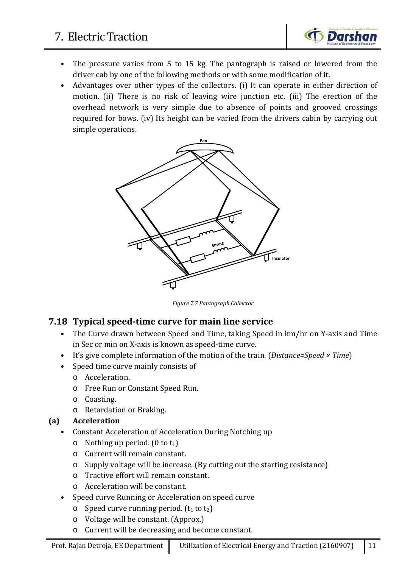# 7. Electric Traction



- The pressure varies from 5 to 15 kg. The pantograph is raised or lowered from the driver cab by one of the following methods or with some modification of it.
- Advantages over other types of the collectors. (i) It can operate in either direction of motion. (ii) There is no risk of leaving wire junction etc. (iii) The erection of the overhead network is very simple due to absence of points and grooved crossings required for bows. (iv) Its height can be varied from the drivers cabin by carrying out simple operations.



*Figure 7.7 Pantograph Collector*

#### **7.18 Typical speed-time curve for main line service**

- The Curve drawn between Speed and Time, taking Speed in km/hr on Y-axis and Time in Sec or min on X-axis is known as speed-time curve.
- It's give complete information of the motion of the train. (*Distance=Speed × Time*)
- Speed time curve mainly consists of
	- o Acceleration.
	- o Free Run or Constant Speed Run.
	- o Coasting.
	- o Retardation or Braking.

#### **(a) Acceleration**

- Constant Acceleration of Acceleration During Notching up
	- $\circ$  Nothing up period. (0 to t<sub>1</sub>)
	- o Current will remain constant.
	- o Supply voltage will be increase. (By cutting out the starting resistance)
	- o Tractive effort will remain constant.
	- o Acceleration will be constant.
- Speed curve Running or Acceleration on speed curve
	- $\circ$  Speed curve running period. (t<sub>1</sub> to t<sub>2</sub>)
	- o Voltage will be constant. (Approx.)
	- o Current will be decreasing and become constant.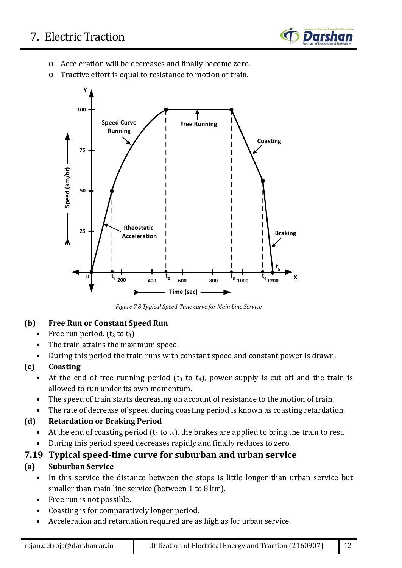

- o Acceleration will be decreases and finally become zero.
- o Tractive effort is equal to resistance to motion of train.



*Figure 7.8 Typical Speed-Time curve for Main Line Service*

#### **(b) Free Run or Constant Speed Run**

- Free run period.  $(t_2 \text{ to } t_3)$
- The train attains the maximum speed.
- During this period the train runs with constant speed and constant power is drawn.

#### **(c) Coasting**

- At the end of free running period ( $t_3$  to  $t_4$ ), power supply is cut off and the train is allowed to run under its own momentum.
- The speed of train starts decreasing on account of resistance to the motion of train.
- The rate of decrease of speed during coasting period is known as coasting retardation.

#### **(d) Retardation or Braking Period**

- At the end of coasting period  $(t_4 \text{ to } t_5)$ , the brakes are applied to bring the train to rest.
- During this period speed decreases rapidly and finally reduces to zero.

## **7.19 Typical speed-time curve for suburban and urban service**

#### **(a) Suburban Service**

- In this service the distance between the stops is little longer than urban service but smaller than main line service (between 1 to 8 km).
- Free run is not possible.
- Coasting is for comparatively longer period.
- Acceleration and retardation required are as high as for urban service.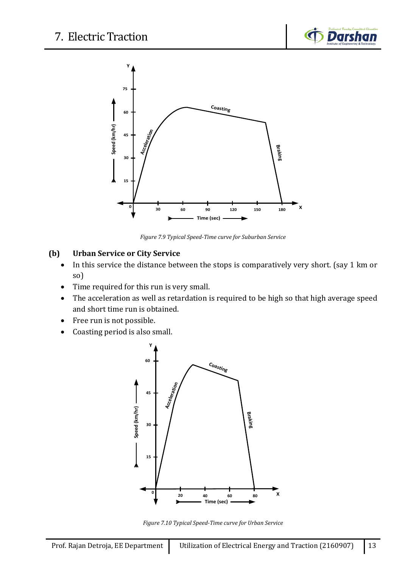



*Figure 7.9 Typical Speed-Time curve for Suburban Service*

#### **(b) Urban Service or City Service**

- In this service the distance between the stops is comparatively very short. (say 1 km or so)
- Time required for this run is very small.
- The acceleration as well as retardation is required to be high so that high average speed and short time run is obtained.
- Free run is not possible.
- Coasting period is also small.



*Figure 7.10 Typical Speed-Time curve for Urban Service*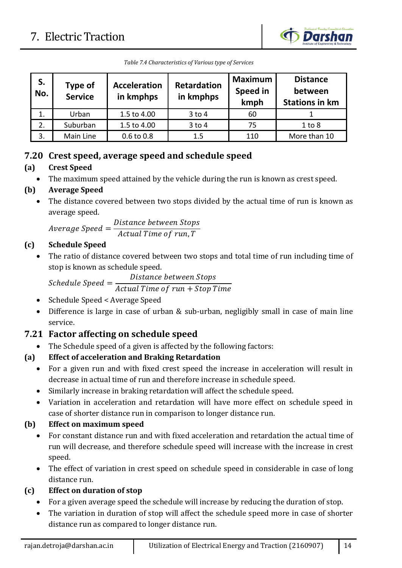

|  | Table 7.4 Characteristics of Various type of Services |  |  |
|--|-------------------------------------------------------|--|--|
|  |                                                       |  |  |

| S.<br>No. | Type of<br><b>Service</b> | <b>Acceleration</b><br>in kmphps | <b>Retardation</b><br>in kmphps | <b>Maximum</b><br>Speed in<br>kmph | <b>Distance</b><br>between<br><b>Stations in km</b> |
|-----------|---------------------------|----------------------------------|---------------------------------|------------------------------------|-----------------------------------------------------|
|           | Urban                     | 1.5 to 4.00                      | $3$ to $4$                      | 60                                 |                                                     |
|           | Suburban                  | 1.5 to 4.00                      | $3$ to $4$                      | 75                                 | 1 to 8                                              |
| 3.        | Main Line                 | 0.6 to 0.8                       | 1.5                             | 110                                | More than 10                                        |

### **7.20 Crest speed, average speed and schedule speed**

#### **(a) Crest Speed**

• The maximum speed attained by the vehicle during the run is known as crest speed.

### **(b) Average Speed**

• The distance covered between two stops divided by the actual time of run is known as average speed.

 $Average Speed = \frac{Distance \ between \ Stop}{Actual Time \ of \ run \ T}$ Actual Time of run,T

#### **(c) Schedule Speed**

The ratio of distance covered between two stops and total time of run including time of stop is known as schedule speed.

 $S$ chedule Speed  $=\frac{Distance\ between\ Stop}{Actual\ Time\ of\ run +\ Ston}$ 

Actual Time of run + Stop Tim

- Schedule Speed < Average Speed
- Difference is large in case of urban & sub-urban, negligibly small in case of main line service.

## **7.21 Factor affecting on schedule speed**

• The Schedule speed of a given is affected by the following factors:

## **(a) Effect of acceleration and Braking Retardation**

- For a given run and with fixed crest speed the increase in acceleration will result in decrease in actual time of run and therefore increase in schedule speed.
- Similarly increase in braking retardation will affect the schedule speed.
- Variation in acceleration and retardation will have more effect on schedule speed in case of shorter distance run in comparison to longer distance run.

#### **(b) Effect on maximum speed**

- For constant distance run and with fixed acceleration and retardation the actual time of run will decrease, and therefore schedule speed will increase with the increase in crest speed.
- The effect of variation in crest speed on schedule speed in considerable in case of long distance run.

## **(c) Effect on duration of stop**

- For a given average speed the schedule will increase by reducing the duration of stop.
- The variation in duration of stop will affect the schedule speed more in case of shorter distance run as compared to longer distance run.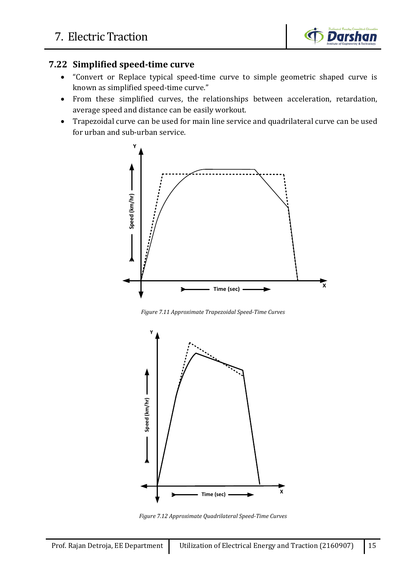

#### **7.22 Simplified speed-time curve**

- "Convert or Replace typical speed-time curve to simple geometric shaped curve is known as simplified speed-time curve."
- From these simplified curves, the relationships between acceleration, retardation, average speed and distance can be easily workout.
- Trapezoidal curve can be used for main line service and quadrilateral curve can be used for urban and sub-urban service.



*Figure 7.11 Approximate Trapezoidal Speed-Time Curves*



*Figure 7.12 Approximate Quadrilateral Speed-Time Curves*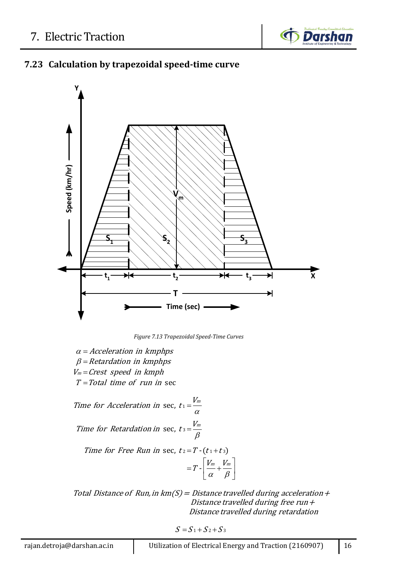

## **7.23 Calculation by trapezoidal speed-time curve**



*Figure 7.13 Trapezoidal Speed-Time Curves*

 $\alpha$  = Acceleration in kmphps  $\beta$  = Retardation in kmphps  $V_m = \text{Crest speed}$  in kmph  $T = Total$  time of run in sec

Time for Acceleration in sec,  $t_1 = \frac{V_m}{\alpha}$ Time for Retardation in sec,  $t_3 = \frac{V_m}{\rho}$  $=\frac{\mu}{\alpha}$ β =

Time for Free Run in sec,  $t_2 = T - (t_1 + t_3)$ 

$$
=T\cdot\!\left[\frac{V_m}{\alpha}\!+\!\frac{V_m}{\beta}\right]
$$

Total Distance of Run, in  $km(S) = Distance$  travelled during acceleration + Distance travelled during free run  $+$ Distance travelled during retardation

 $S = S_1 + S_2 + S_3$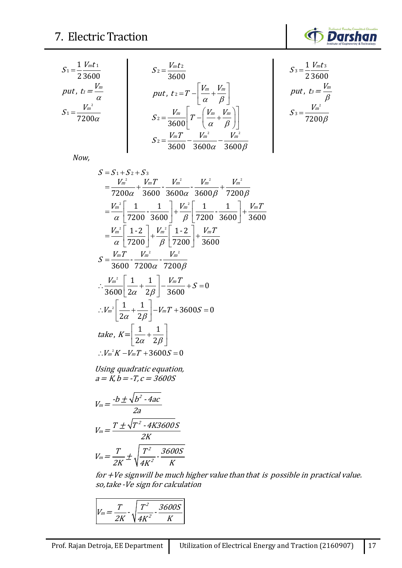

3

β

$$
S_{1} = \frac{1}{2} \frac{V_{m} t_{1}}{3600}
$$
\n
$$
put, t_{1} = \frac{V_{m}}{\alpha}
$$
\n
$$
S_{2} = \frac{V_{m} t_{2}}{3600}
$$
\n
$$
put, t_{2} = T - \left[ \frac{V_{m}}{\alpha} + \frac{V_{m}}{\beta} \right]
$$
\n
$$
S_{3} = \frac{1}{2} \frac{V_{m} t_{3}}{3600}
$$
\n
$$
put, t_{3} = \frac{V_{m}}{\beta}
$$
\n
$$
S_{1} = \frac{V_{m}^{2}}{\beta}
$$
\n
$$
S_{2} = \frac{V_{m}}{3600} \left[ T - \left( \frac{V_{m}}{\alpha} + \frac{V_{m}}{\beta} \right) \right]
$$
\n
$$
S_{3} = \frac{V_{m}^{2}}{\beta}
$$
\n
$$
S_{4} = \frac{V_{m}^{2}}{\beta}
$$
\n
$$
S_{5} = \frac{V_{m}^{2}}{7200\beta}
$$
\n
$$
S_{600} - \frac{V_{m}^{2}}{3600\alpha} - \frac{V_{m}^{2}}{3600\beta}
$$

*Now,*

$$
S = S_1 + S_2 + S_3
$$
  
\n
$$
= \frac{V_m^2}{7200\alpha} + \frac{V_m T}{3600} - \frac{V_m^2}{3600\alpha} - \frac{V_m^2}{3600\beta} + \frac{V_m^2}{7200\beta}
$$
  
\n
$$
= \frac{V_m^2}{\alpha} \left[ \frac{1}{7200} - \frac{1}{3600} \right] + \frac{V_m^2}{\beta} \left[ \frac{1}{7200} - \frac{1}{3600} \right] + \frac{V_m T}{3600}
$$
  
\n
$$
= \frac{V_m^2}{\alpha} \left[ \frac{1}{7200} \right] + \frac{V_m^2}{\beta} \left[ \frac{1}{7200} \right] + \frac{V_m T}{3600}
$$
  
\n
$$
S = \frac{V_m T}{3600} - \frac{V_m^2}{7200\alpha} - \frac{V_m^2}{7200\beta}
$$
  
\n
$$
\therefore \frac{V_m^2}{3600} \left[ \frac{1}{2\alpha} + \frac{1}{2\beta} \right] - \frac{V_m T}{3600} + S = 0
$$
  
\n
$$
\therefore V_m^2 \left[ \frac{1}{2\alpha} + \frac{1}{2\beta} \right] - V_m T + 3600S = 0
$$
  
\ntake,  $K = \left[ \frac{1}{2\alpha} + \frac{1}{2\beta} \right]$   
\n
$$
\therefore V_m^2 K - V_m T + 3600S = 0
$$
  
\nUsing quadratic equation,  
\n $a = K, b = -T, c = 3600S$ 

 $a = K$ ,  $b = -T$ ,  $c = 3600S$ 

$$
V_m = \frac{-b \pm \sqrt{b^2 - 4ac}}{2a}
$$
  

$$
V_m = \frac{T \pm \sqrt{T^2 - 4K3600S}}{2K}
$$
  

$$
V_m = \frac{T}{2K} \pm \sqrt{\frac{T^2}{4K^2} - \frac{3600S}{K}}
$$

for +Ve sign will be much higher value than that is possible in practical value. so, take -Ve sign for calcul ation

$$
V_m = \frac{T}{2K} \cdot \sqrt{\frac{T^2}{4K^2} \cdot \frac{3600S}{K}}
$$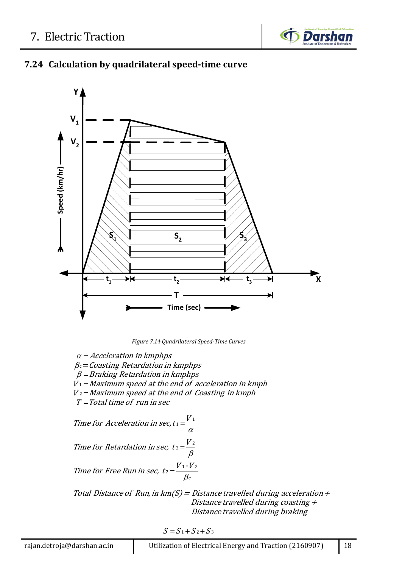

## **7.24 Calculation by quadrilateral speed-time curve**



*Figure 7.14 Quadrilateral Speed-Time Curves*

 $\alpha$  = Acceleration in kmphps  $\beta$  = Braking Retardation in kmphps  $V_1$  = Maximum speed at the end of acceleration in kmph  $V_2$  = Maximum speed at the end of Coasting in kmph  $T = Total$  time of run in sec  $\beta_\mathrm{c}\!=\! \mathit{Coasting}$  Retardation in kmphps Time for Acceleration in sec, t  $1 = \frac{V_1}{\alpha}$ Time for Retardation in sec,  $t_3 = \frac{V_2}{r_1}$ β =

Time for Free Run in sec, 
$$
t_2 = \frac{V_1 - V_2}{\beta_c}
$$

Total Distance of Run, in  $km(S) = Distance$  travelled during acceleration + Distance travelled during coasting <sup>+</sup> Distance travelled during braking

 $S = S_1 + S_2 + S_3$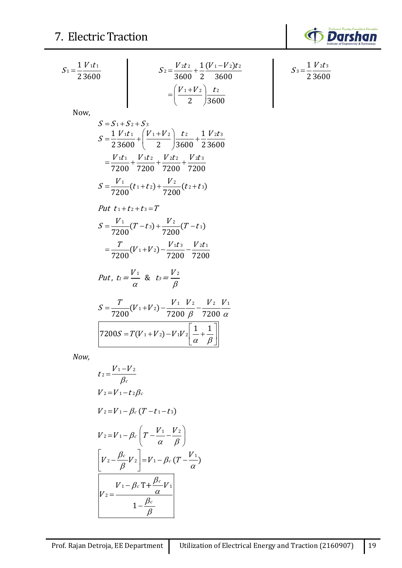

$$
S_1 = \frac{1}{2} \frac{V_1 t_1}{3600}
$$
  
\n
$$
S_2 = \frac{V_2 t_2}{3600} + \frac{1}{2} \frac{(V_1 - V_2) t_2}{3600}
$$
  
\n
$$
= \left(\frac{V_1 + V_2}{2}\right) \frac{t_2}{3600}
$$
  
\nNow,  
\n
$$
S = S_1 + S_2 + S_3
$$
  
\n
$$
S = \frac{1}{2} \frac{V_1 t_1}{3600} + \left(\frac{V_1 + V_2}{2}\right) \frac{t_2}{3600} + \frac{1}{2} \frac{V_2 t_3}{2600}
$$
  
\n
$$
= \frac{V_1 t_1}{7200} + \frac{V_1 t_2}{7200} + \frac{V_2 t_2}{7200} + \frac{V_2 t_3}{7200}
$$
  
\n
$$
S = \frac{V_1}{7200} (t_1 + t_2) + \frac{V_2}{7200} (t_2 + t_3)
$$
  
\nPut  $t_1 + t_2 + t_3 = T$   
\n
$$
S = \frac{V_1}{7200} (T - t_3) + \frac{V_2}{7200} (T - t_1)
$$
  
\n
$$
= \frac{T}{7200} (V_1 + V_2) - \frac{V_1 t_3}{7200} - \frac{V_2 t_1}{7200}
$$
  
\nPut,  $t_1 = \frac{V_1}{\alpha}$  &  $t_2 = \frac{V_2}{\beta}$   
\n
$$
S = \frac{T}{7200} (V_1 + V_2) - \frac{V_1 V_2}{7200} - \frac{V_2 V_1}{7200}
$$
  
\n
$$
T200S = T(V_1 + V_2) - V_1 V_2 \left[\frac{1}{\alpha} + \frac{1}{\beta}\right]
$$

*Now,*

$$
t_2 = \frac{V_1 - V_2}{\beta_c}
$$
  
\n
$$
V_2 = V_1 - t_2 \beta_c
$$
  
\n
$$
V_2 = V_1 - \beta_c (T - t_1 - t_3)
$$
  
\n
$$
V_2 = V_1 - \beta_c \left( T - \frac{V_1}{\alpha} - \frac{V_2}{\beta} \right)
$$
  
\n
$$
\left[ V_2 - \frac{\beta_c}{\beta} V_2 \right] = V_1 - \beta_c (T - \frac{V_1}{\alpha})
$$
  
\n
$$
V_2 = \frac{V_1 - \beta_c T + \frac{\beta_c}{\alpha} V_1}{1 - \frac{\beta_c}{\beta}}
$$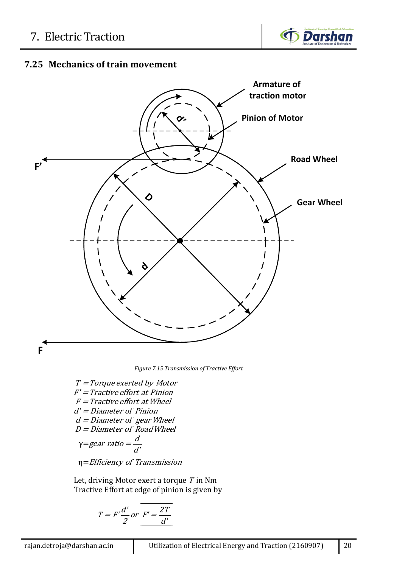

## **7.25 Mechanics of train movement**



*Figure 7.15 Transmission of Tractive Effort*

γ=  $T = T$ orque exerted by Motor  $F'$  = Tractive effort at Pinion  $F = Tractive$  effort at Wheel d' <sup>=</sup> Diameter of Pinion  $d =$  Diameter of gear Wheel  $D =$  Diameter of Road Wheel d gear ratio =  $\frac{a}{d'}$ 

η= Efficiency of Transmission

Let, driving Motor exert a torque  $\mathit{T}$  in Nm Tractive Effort at edge of pinion is given by

$$
T = F'\frac{d'}{2} or \boxed{F' = \frac{2T}{d'}}
$$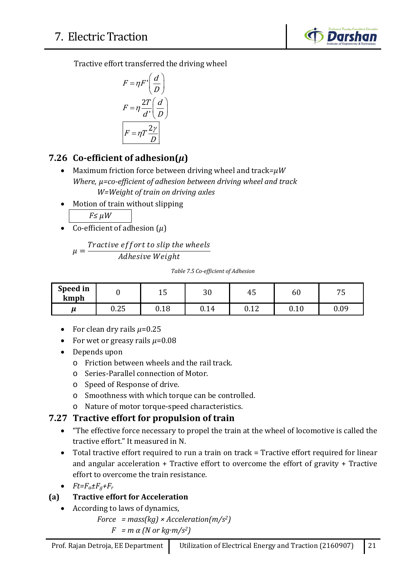

Tractive effort transferred the driving wheel

$$
F = \eta F' \left(\frac{d}{D}\right)
$$

$$
F = \eta \frac{2T}{d'} \left(\frac{d}{D}\right)
$$

$$
F = \eta T \frac{2\gamma}{D}
$$

## **7.26 Co-efficient of adhesion(***µ***)**

- Maximum friction force between driving wheel and track*=µW Where, µ=co-efficient of adhesion between driving wheel and track W=Weight of train on driving axles*
- Motion of train without slipping

*F≤ µW*

• Co-efficient of adhesion (*µ*)

 $\mu =$ Tractive effort to slip the wheels Adhesive Weight

#### *Table 7.5 Co-efficient of Adhesion*

| Speed in<br>kmph |                  | 1 <sub>1</sub><br>ᆚ | ററ<br>υc | г.<br>45            | 60                | $\overline{ }$ $\overline{ }$ $\overline{ }$<br>ັ |
|------------------|------------------|---------------------|----------|---------------------|-------------------|---------------------------------------------------|
| и                | $\Omega$<br>u.zə | 0.18                | 0.14     | $\sqrt{10}$<br>0.IL | 10<br><b>v.it</b> | 0.09                                              |

- For clean dry rails  $\mu$ =0.25
- For wet or greasy rails  $\mu$ =0.08
- Depends upon
	- o Friction between wheels and the rail track.
	- o Series-Parallel connection of Motor.
	- o Speed of Response of drive.
	- o Smoothness with which torque can be controlled.
	- o Nature of motor torque-speed characteristics.

## **7.27 Tractive effort for propulsion of train**

- "The effective force necessary to propel the train at the wheel of locomotive is called the tractive effort." It measured in N.
- Total tractive effort required to run a train on track = Tractive effort required for linear and angular acceleration + Tractive effort to overcome the effort of gravity + Tractive effort to overcome the train resistance.
- $\bullet$   $Ft = F_a \pm F_g + F_r$

## **(a) Tractive effort for Acceleration**

- According to laws of dynamics,
	- *Force = mass(kg) × Acceleration(m/s2)*  $F = m \alpha$  (N or kg·*m*/ $s^2$ )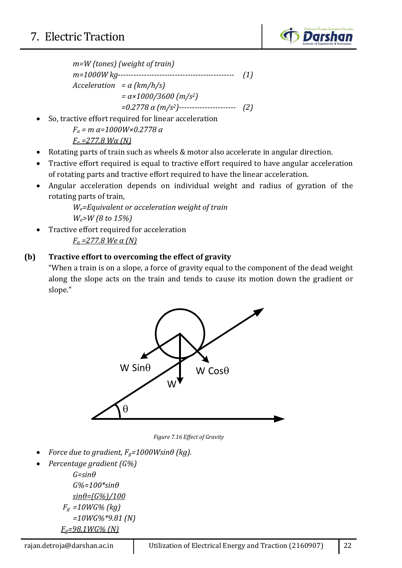

$$
m=W \text{ (tones) (weight of train)}
$$
\n
$$
m=1000W \, kg
$$
\n
$$
Acceleration = α \, (km/h/s)
$$
\n
$$
= α \times 1000/3600 \, (m/s2)
$$
\n
$$
= 0.2778 \, α \, (m/s2)
$$
\n
$$
= 0.288 \, N = 0.281 \, N = 0.281 \, N = 0.281 \, N = 0.281 \, N = 0.281 \, N = 0.281 \, N = 0.281 \, N = 0.281 \, N = 0.281 \, N = 0.281 \, N = 0.281 \, N = 0.281 \, N = 0.281 \, N = 0.281 \, N = 0.281 \, N = 0.281 \, N = 0.281 \, N = 0.281 \, N = 0.281 \, N = 0.281 \, N = 0.281 \, N = 0.281 \, N = 0.281 \, N = 0.281 \, N = 0.281 \, N = 0.281 \, N = 0.281 \, N = 0.281 \, N = 0.281 \, N = 0.281 \, N = 0.281 \, N = 0.281 \, N = 0.281 \, N = 0.281 \, N = 0.281 \, N = 0.281 \, N = 0.281 \, N = 0.281 \, N = 0.281 \, N = 0.281 \, N = 0.281 \, N = 0.281 \, N = 0.281 \, N = 0.281 \, N = 0.281 \, N = 0.281 \, N = 0.281 \, N = 0.281 \, N = 0.281 \, N = 0.281 \, N = 0.281 \, N = 0.281 \, N = 0.281 \, N = 0.281 \, N = 0.281 \, N = 0.281 \, N = 0.281 \, N = 0.281 \, N = 0.281 \, N = 0.281 \, N = 0.281 \, N = 0.281 \
$$

- So, tractive effort required for linear acceleration *Fa = m α=1000W×0.2778 α Fa =277.8 Wα (N)*
- Rotating parts of train such as wheels & motor also accelerate in angular direction.
- Tractive effort required is equal to tractive effort required to have angular acceleration of rotating parts and tractive effort required to have the linear acceleration.
- Angular acceleration depends on individual weight and radius of gyration of the rotating parts of train,

*We=Equivalent or acceleration weight of train We>W (8 to 15%)*

• Tractive effort required for acceleration *Fa =277.8 We α (N)*

### **(b) Tractive effort to overcoming the effect of gravity**

"When a train is on a slope, a force of gravity equal to the component of the dead weight along the slope acts on the train and tends to cause its motion down the gradient or slope."

![](_page_21_Figure_11.jpeg)

*Figure 7.16 Effect of Gravity*

- *Force due to gradient,*  $F_g = 1000W \sin\theta$  (kg).
- *Percentage gradient (G%) G=sinθ*

*G%=100\*sinθ sinθ=(G%)/100 Fg =10WG% (kg) =10WG%\*9.81 (N) Fg=98.1WG% (N)*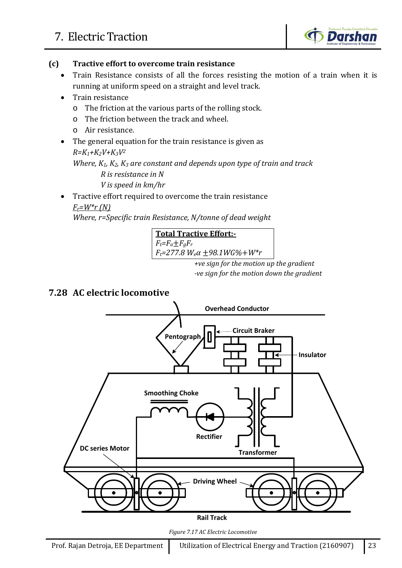![](_page_22_Picture_1.jpeg)

#### **(c) Tractive effort to overcome train resistance**

- Train Resistance consists of all the forces resisting the motion of a train when it is running at uniform speed on a straight and level track.
- Train resistance
	- o The friction at the various parts of the rolling stock.
	- o The friction between the track and wheel.
	- o Air resistance.
- The general equation for the train resistance is given as *R=K1+K2V+K3V2*

## *Where, K1, K2, K3 are constant and depends upon type of train and track*

 *R is resistance in N V is speed in km/hr*

• Tractive effort required to overcome the train resistance *Fr=W\*r (N)*

*Where, r=Specific train Resistance, N/tonne of dead weight*

![](_page_22_Figure_13.jpeg)

*+ve sign for the motion up the gradient -ve sign for the motion down the gradient*

## **7.28 AC electric locomotive**

![](_page_22_Figure_16.jpeg)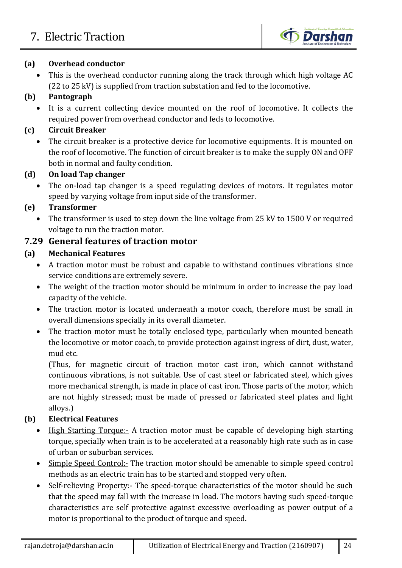![](_page_23_Picture_1.jpeg)

#### **(a) Overhead conductor**

• This is the overhead conductor running along the track through which high voltage AC (22 to 25 kV) is supplied from traction substation and fed to the locomotive.

## **(b) Pantograph**

• It is a current collecting device mounted on the roof of locomotive. It collects the required power from overhead conductor and feds to locomotive.

## **(c) Circuit Breaker**

The circuit breaker is a protective device for locomotive equipments. It is mounted on the roof of locomotive. The function of circuit breaker is to make the supply ON and OFF both in normal and faulty condition.

#### **(d) On load Tap changer**

The on-load tap changer is a speed regulating devices of motors. It regulates motor speed by varying voltage from input side of the transformer.

### **(e) Transformer**

• The transformer is used to step down the line voltage from 25 kV to 1500 V or required voltage to run the traction motor.

## **7.29 General features of traction motor**

#### **(a) Mechanical Features**

- A traction motor must be robust and capable to withstand continues vibrations since service conditions are extremely severe.
- The weight of the traction motor should be minimum in order to increase the pay load capacity of the vehicle.
- The traction motor is located underneath a motor coach, therefore must be small in overall dimensions specially in its overall diameter.
- The traction motor must be totally enclosed type, particularly when mounted beneath the locomotive or motor coach, to provide protection against ingress of dirt, dust, water, mud etc.

(Thus, for magnetic circuit of traction motor cast iron, which cannot withstand continuous vibrations, is not suitable. Use of cast steel or fabricated steel, which gives more mechanical strength, is made in place of cast iron. Those parts of the motor, which are not highly stressed; must be made of pressed or fabricated steel plates and light alloys.)

## **(b) Electrical Features**

- High Starting Torque:- A traction motor must be capable of developing high starting torque, specially when train is to be accelerated at a reasonably high rate such as in case of urban or suburban services.
- Simple Speed Control:- The traction motor should be amenable to simple speed control methods as an electric train has to be started and stopped very often.
- Self-relieving Property:- The speed-torque characteristics of the motor should be such that the speed may fall with the increase in load. The motors having such speed-torque characteristics are self protective against excessive overloading as power output of a motor is proportional to the product of torque and speed.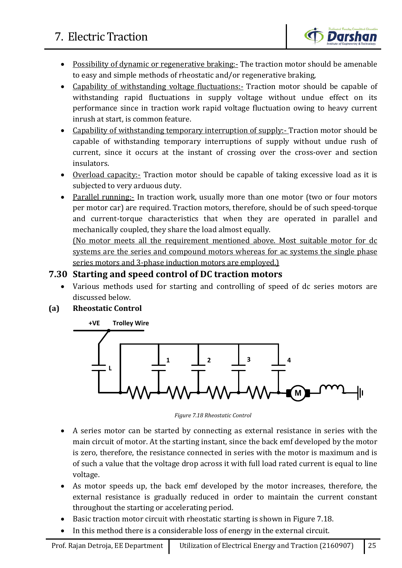![](_page_24_Picture_1.jpeg)

- Possibility of dynamic or regenerative braking:- The traction motor should be amenable to easy and simple methods of rheostatic and/or regenerative braking,
- Capability of withstanding voltage fluctuations:- Traction motor should be capable of withstanding rapid fluctuations in supply voltage without undue effect on its performance since in traction work rapid voltage fluctuation owing to heavy current inrush at start, is common feature.
- Capability of withstanding temporary interruption of supply:- Traction motor should be capable of withstanding temporary interruptions of supply without undue rush of current, since it occurs at the instant of crossing over the cross-over and section insulators.
- Overload capacity:- Traction motor should be capable of taking excessive load as it is subjected to very arduous duty.
- Parallel running: In traction work, usually more than one motor (two or four motors per motor car) are required. Traction motors, therefore, should be of such speed-torque and current-torque characteristics that when they are operated in parallel and mechanically coupled, they share the load almost equally.

(No motor meets all the requirement mentioned above. Most suitable motor for dc systems are the series and compound motors whereas for ac systems the single phase series motors and 3-phase induction motors are employed.)

### **7.30 Starting and speed control of DC traction motors**

• Various methods used for starting and controlling of speed of dc series motors are discussed below.

#### **(a) Rheostatic Control**

![](_page_24_Figure_11.jpeg)

*Figure 7.18 Rheostatic Control*

- A series motor can be started by connecting as external resistance in series with the main circuit of motor. At the starting instant, since the back emf developed by the motor is zero, therefore, the resistance connected in series with the motor is maximum and is of such a value that the voltage drop across it with full load rated current is equal to line voltage.
- As motor speeds up, the back emf developed by the motor increases, therefore, the external resistance is gradually reduced in order to maintain the current constant throughout the starting or accelerating period.
- Basic traction motor circuit with rheostatic starting is shown in Figure 7.18.
- In this method there is a considerable loss of energy in the external circuit.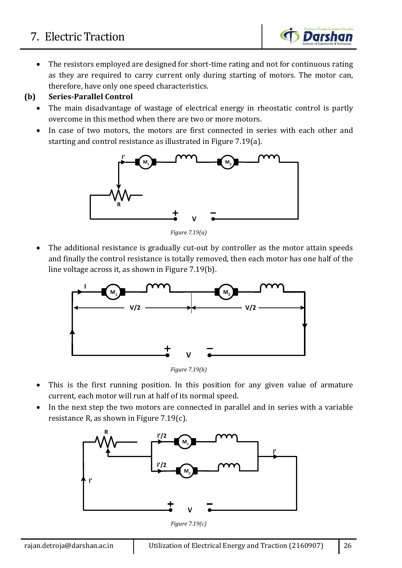The resistors employed are designed for short-time rating and not for continuous rating as they are required to carry current only during starting of motors. The motor can, therefore, have only one speed characteristics.

**Darshan** 

#### **(b) Series-Parallel Control**

- The main disadvantage of wastage of electrical energy in rheostatic control is partly overcome in this method when there are two or more motors.
- In case of two motors, the motors are first connected in series with each other and starting and control resistance as illustrated in Figure 7.19(a).

![](_page_25_Figure_5.jpeg)

*Figure 7.19(a)*

The additional resistance is gradually cut-out by controller as the motor attain speeds and finally the control resistance is totally removed, then each motor has one half of the line voltage across it, as shown in Figure 7.19(b).

![](_page_25_Figure_8.jpeg)

*Figure 7.19(b)*

- This is the first running position. In this position for any given value of armature current, each motor will run at half of its normal speed.
- In the next step the two motors are connected in parallel and in series with a variable resistance R, as shown in Figure 7.19(c).

![](_page_25_Figure_12.jpeg)

*Figure 7.19(c)*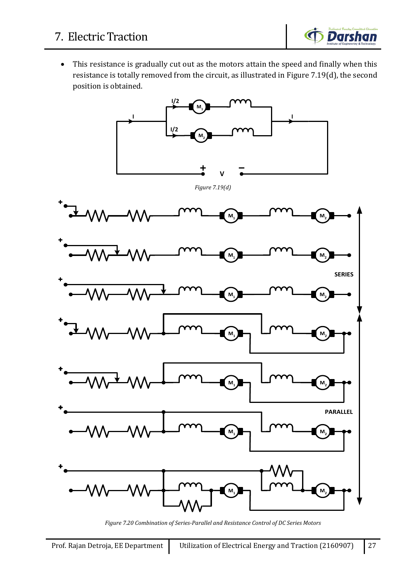![](_page_26_Picture_1.jpeg)

• This resistance is gradually cut out as the motors attain the speed and finally when this resistance is totally removed from the circuit, as illustrated in Figure 7.19(d), the second position is obtained.

![](_page_26_Figure_3.jpeg)

*Figure 7.20 Combination of Series-Parallel and Resistance Control of DC Series Motors*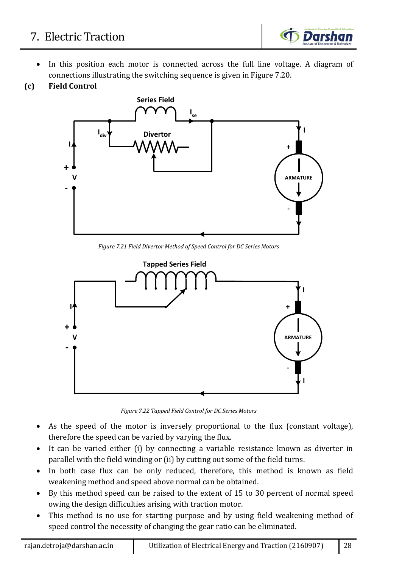- In this position each motor is connected across the full line voltage. A diagram of connections illustrating the switching sequence is given in Figure 7.20.
- **(c) Field Control**

![](_page_27_Figure_4.jpeg)

*Figure 7.21 Field Divertor Method of Speed Control for DC Series Motors*

![](_page_27_Figure_6.jpeg)

*Figure 7.22 Tapped Field Control for DC Series Motors*

- As the speed of the motor is inversely proportional to the flux (constant voltage), therefore the speed can be varied by varying the flux.
- It can be varied either (i) by connecting a variable resistance known as diverter in parallel with the field winding or (ii) by cutting out some of the field turns.
- In both case flux can be only reduced, therefore, this method is known as field weakening method and speed above normal can be obtained.
- By this method speed can be raised to the extent of 15 to 30 percent of normal speed owing the design difficulties arising with traction motor.
- This method is no use for starting purpose and by using field weakening method of speed control the necessity of changing the gear ratio can be eliminated.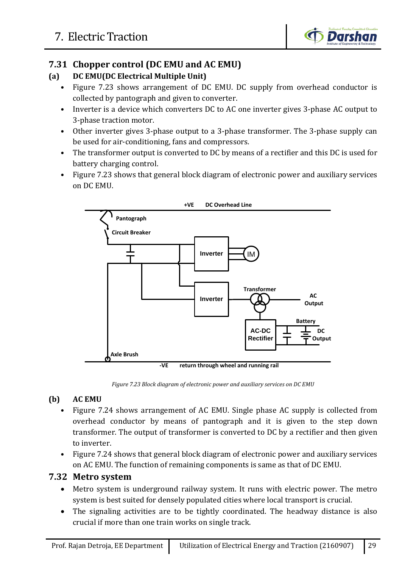![](_page_28_Picture_1.jpeg)

## **7.31 Chopper control (DC EMU and AC EMU)**

#### **(a) DC EMU(DC Electrical Multiple Unit)**

- Figure 7.23 shows arrangement of DC EMU. DC supply from overhead conductor is collected by pantograph and given to converter.
- Inverter is a device which converters DC to AC one inverter gives 3-phase AC output to 3-phase traction motor.
- Other inverter gives 3-phase output to a 3-phase transformer. The 3-phase supply can be used for air-conditioning, fans and compressors.
- The transformer output is converted to DC by means of a rectifier and this DC is used for battery charging control.
- Figure 7.23 shows that general block diagram of electronic power and auxiliary services on DC EMU.

![](_page_28_Figure_9.jpeg)

## **(b) AC EMU**

- Figure 7.24 shows arrangement of AC EMU. Single phase AC supply is collected from overhead conductor by means of pantograph and it is given to the step down transformer. The output of transformer is converted to DC by a rectifier and then given to inverter.
- Figure 7.24 shows that general block diagram of electronic power and auxiliary services on AC EMU. The function of remaining components is same as that of DC EMU.

## **7.32 Metro system**

- Metro system is underground railway system. It runs with electric power. The metro system is best suited for densely populated cities where local transport is crucial.
- The signaling activities are to be tightly coordinated. The headway distance is also crucial if more than one train works on single track.

*Figure 7.23 Block diagram of electronic power and auxiliary services on DC EMU*